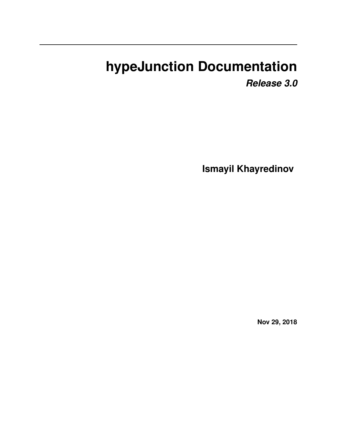# **hypeJunction Documentation**

*Release 3.0*

**Ismayil Khayredinov**

**Nov 29, 2018**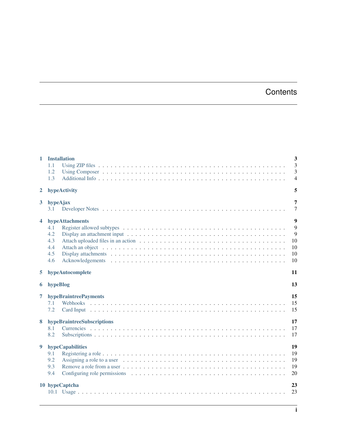### **Contents**

| $\mathbf{1}$   | <b>Installation</b><br>1.1<br>1.2<br>1.3                  | $\overline{\mathbf{3}}$<br>$\overline{3}$<br>3<br>$\overline{4}$ |
|----------------|-----------------------------------------------------------|------------------------------------------------------------------|
| $\mathbf{2}$   | hypeActivity                                              | 5                                                                |
| 3 <sup>1</sup> | hypeAjax<br>3.1                                           | 7<br>$\overline{7}$                                              |
| 4              | hypeAttachments<br>4.1<br>4.2<br>4.3<br>4.4<br>4.5<br>4.6 | 9<br>9<br>9<br>10<br>10<br>10<br>10                              |
| 5.             | hypeAutocomplete                                          | 11                                                               |
| 6              | hypeBlog                                                  | 13                                                               |
| 7              | hypeBraintreePayments<br>7.1<br>7.2                       | 15<br>15<br>15                                                   |
| 8              | hypeBraintreeSubscriptions<br>8.1<br>8.2                  | 17<br>17<br>17                                                   |
| 9              | hypeCapabilities<br>9.1<br>9.2<br>9.3<br>9.4              | 19<br>19<br>19<br>19<br>20                                       |
|                | 10 hypeCaptcha                                            | 23<br>23                                                         |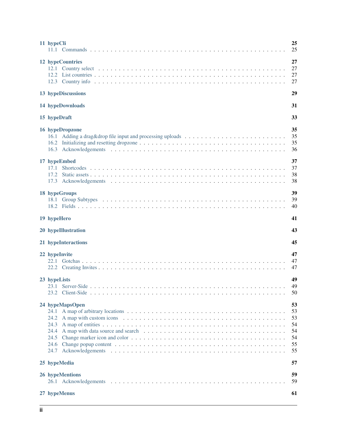| 11 hypeCli                                                      | 25<br>25                                     |
|-----------------------------------------------------------------|----------------------------------------------|
| 12 hypeCountries                                                | 27<br>27<br>27<br>27                         |
| 13 hypeDiscussions                                              | 29                                           |
| 14 hypeDownloads                                                | 31                                           |
| 15 hypeDraft                                                    | 33                                           |
| 16 hypeDropzone                                                 | 35<br>35<br>35<br>36                         |
| 17 hypeEmbed<br>17.1                                            | 37<br>37<br>38<br>38                         |
| 18 hypeGroups                                                   | 39<br>39<br>40                               |
| 19 hypeHero                                                     | 41                                           |
| 20 hypeIllustration                                             | 43                                           |
| 21 hypeInteractions                                             | 45                                           |
| 22 hypeInvite                                                   | 47<br>47<br>47                               |
| 23 hypeLists                                                    | 49<br>49<br>50                               |
| 24 hypeMapsOpen<br>24.2<br>24.3<br>24.4<br>24.5<br>24.6<br>24.7 | 53<br>53<br>53<br>54<br>54<br>54<br>55<br>55 |
| 25 hypeMedia                                                    | 57                                           |
| 26 hypeMentions                                                 | 59<br>59                                     |
| 27 hypeMenus                                                    | 61                                           |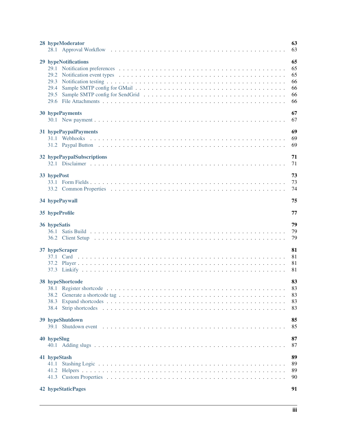| 28 hypeModerator                                             | 63<br>63                               |
|--------------------------------------------------------------|----------------------------------------|
| 29 hypeNotifications<br>29.2<br>29.3<br>29.4<br>29.5<br>29.6 | 65<br>65<br>65<br>66<br>66<br>66<br>66 |
| 30 hypePayments                                              | 67<br>67                               |
| 31 hypePaypalPayments                                        | 69<br>69<br>69                         |
| 32 hypePaypalSubscriptions                                   | 71<br>71                               |
| 33 hypePost                                                  | 73<br>73<br>74                         |
| 34 hypePaywall                                               | 75                                     |
| 35 hypeProfile                                               | 77                                     |
| 36 hypeSatis                                                 | 79                                     |
|                                                              | 79<br>79                               |
| 37 hypeScraper                                               | 81<br>81<br>81<br>81                   |
| 38 hypeShortcode<br>38.1<br>38.2<br>38.3<br>38.4             | 83<br>83<br>83<br>83<br>83             |
| 39 hypeShutdown                                              | 85<br>85                               |
| 40 hypeSlug                                                  | 87<br>87                               |
| 41 hypeStash<br>41.1                                         | 89<br>89<br>89<br>90                   |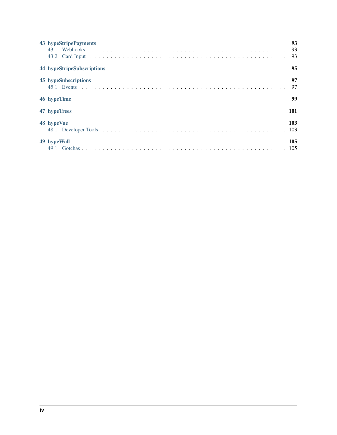| 43 hypeStripePayments      | 93<br>93<br>93 |
|----------------------------|----------------|
| 44 hypeStripeSubscriptions | 95             |
| 45 hypeSubscriptions       | 97<br>97       |
| 46 hypeTime                | 99             |
| 47 hypeTrees               | 101            |
| 48 hypeVue                 | 103            |
| 49 hypeWall                | 105            |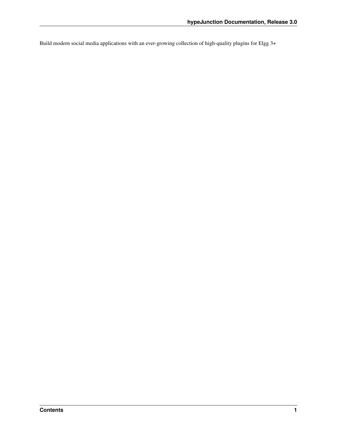Build modern social media applications with an ever-growing collection of high-quality plugins for Elgg 3+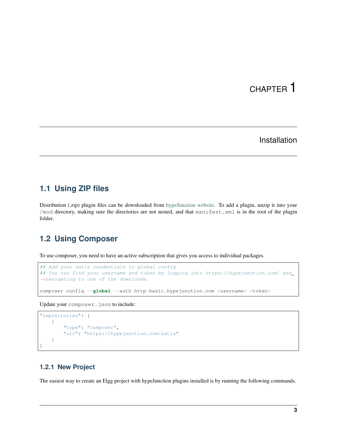#### Installation

#### <span id="page-8-1"></span><span id="page-8-0"></span>**1.1 Using ZIP files**

Distribution (.zip) plugin files can be downloaded from [hypeJunction website.](https://hypejunction.com/) To add a plugin, unzip it into your /mod directory, making sure the directories are not nested, and that manifest.xml is in the root of the plugin folder.

#### <span id="page-8-2"></span>**1.2 Using Composer**

To use composer, you need to have an active subscription that gives you access to individual packages.

```
## Add your satis credentials to global config
## You can find your username and token by logging into https://hypejunction.com/ and
˓→navigating to one of the downloads.
composer config --global --auth http-basic.hypejunction.com <username> <token>
```
Update your composer.json to include:

```
"repositories": [
    {
        "type": "composer",
        "url": "https://hypejunction.com/satis"
    }
]
```
#### **1.2.1 New Project**

The easiest way to create an Elgg project with hypeJunction plugins installed is by running the following commands.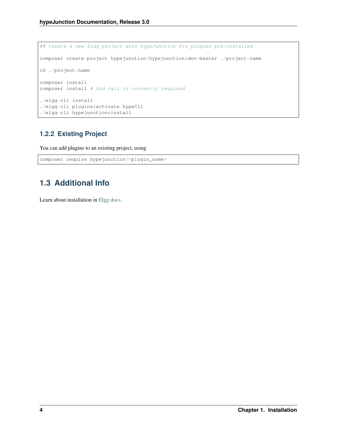```
## Create a new Elgg project with hypeJunction Pro plugins pre-installed
composer create-project hypejunction/hypejunction:dev-master ./project-name
cd ./project-name
composer install
composer install # 2nd call is currently required
./elgg-cli install
./elgg-cli plugins:activate hypeCli
./elgg-cli hypejunction:install
```
#### **1.2.2 Existing Project**

You can add plugins to an existing project, using

```
composer require hypejunction/<plugin_name>
```
#### <span id="page-9-0"></span>**1.3 Additional Info**

Learn about installation in [Elgg docs.](https://learn.elgg.org/)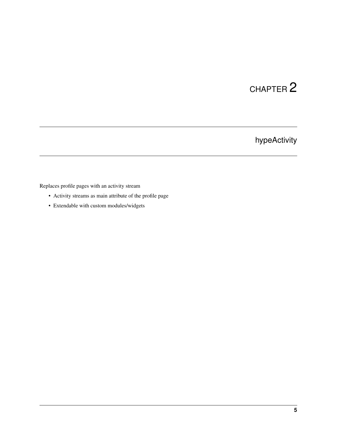## hypeActivity

<span id="page-10-0"></span>Replaces profile pages with an activity stream

- Activity streams as main attribute of the profile page
- Extendable with custom modules/widgets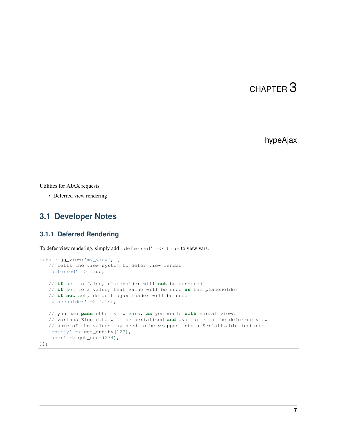#### hypeAjax

<span id="page-12-0"></span>Utilities for AJAX requests

• Deferred view rendering

#### <span id="page-12-1"></span>**3.1 Developer Notes**

#### **3.1.1 Deferred Rendering**

To defer view rendering, simply add 'deferred' => true to view vars.

```
echo elgg_view('my_view', [
  // tells the view system to defer view render
   'deferred' => true,
   // if set to false, placeholder will not be rendered
   // if set to a value, that value will be used as the placeholder
   // if not set, default ajax loader will be used
   'placeholder' => false,
   // you can pass other view vars, as you would with normal views
   // various Elgg data will be serialized and available to the deferred view
   // some of the values may need to be wrapped into a Serializable instance
   'entity' => get_entity(123),
   'user' => get\_user(234),
]);
```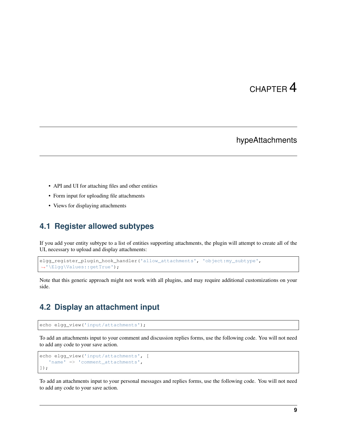#### hypeAttachments

- <span id="page-14-0"></span>• API and UI for attaching files and other entities
- Form input for uploading file attachments
- Views for displaying attachments

#### <span id="page-14-1"></span>**4.1 Register allowed subtypes**

If you add your entity subtype to a list of entities supporting attachments, the plugin will attempt to create all of the UI, necessary to upload and display attachments:

```
elgg_register_plugin_hook_handler('allow_attachments', 'object:my_subtype',
˓→'\Elgg\Values::getTrue');
```
Note that this generic approach might not work with all plugins, and may require additional customizations on your side.

#### <span id="page-14-2"></span>**4.2 Display an attachment input**

```
echo elgg_view('input/attachments');
```
To add an attachments input to your comment and discussion replies forms, use the following code. You will not need to add any code to your save action.

```
echo elgg_view('input/attachments', [
   'name' => 'comment_attachments',
]);
```
To add an attachments input to your personal messages and replies forms, use the following code. You will not need to add any code to your save action.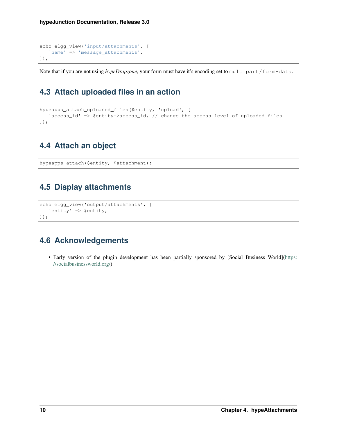```
echo elgg_view('input/attachments', [
   'name' => 'message_attachments',
]);
```
Note that if you are not using *hypeDropzone*, your form must have it's encoding set to multipart/form-data.

### <span id="page-15-0"></span>**4.3 Attach uploaded files in an action**

```
hypeapps_attach_uploaded_files($entity, 'upload', [
   'access_id' => $entity->access_id, // change the access level of uploaded files
]);
```
### <span id="page-15-1"></span>**4.4 Attach an object**

hypeapps\_attach(\$entity, \$attachment);

### <span id="page-15-2"></span>**4.5 Display attachments**

```
echo elgg_view('output/attachments', [
   'entity' => $entity,
]);
```
### <span id="page-15-3"></span>**4.6 Acknowledgements**

• Early version of the plugin development has been partially sponsored by [Social Business World][\(https:](https://socialbusinessworld.org/) [//socialbusinessworld.org/\)](https://socialbusinessworld.org/)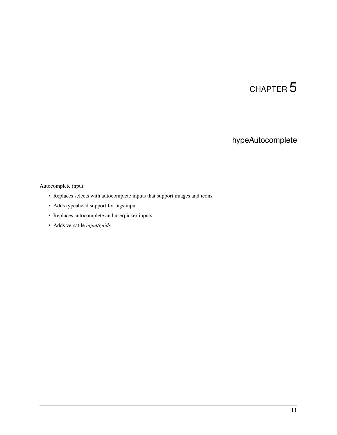### hypeAutocomplete

#### <span id="page-16-0"></span>Autocomplete input

- Replaces selects with autocomplete inputs that support images and icons
- Adds typeahead support for tags input
- Replaces autocomplete and userpicker inputs
- Adds versatile *input/guids*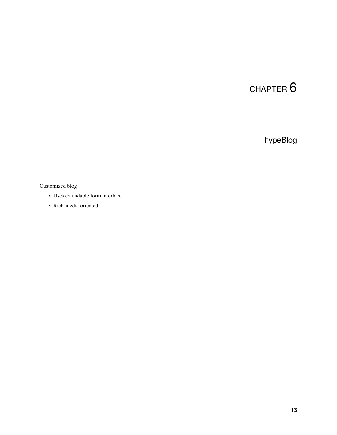## hypeBlog

#### <span id="page-18-0"></span>Customized blog

- Uses extendable form interface
- Rich-media oriented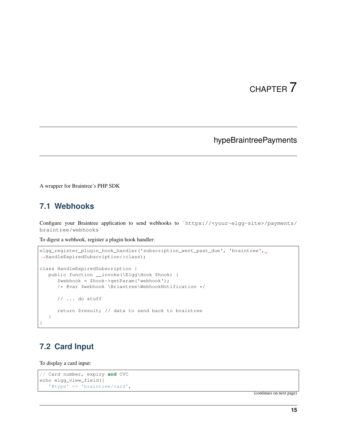#### hypeBraintreePayments

<span id="page-20-0"></span>A wrapper for Braintree's PHP SDK

#### <span id="page-20-1"></span>**7.1 Webhooks**

Configure your Braintree application to send webhooks to `https://<your-elgg-site>/payments/ braintree/webhooks`

To digest a webhook, register a plugin hook handler:

```
elgg_register_plugin_hook_handler('subscription_went_past_due', 'braintree', u
˓→HandleExpiredSubscription::class);
class HandleExpiredSubscription {
  public function __invoke(\Elgg\Hook $hook) {
      $webhook = $hook->getParam('webhook');
      /* @var $webhook \Briantree\WebhookNotification */
      // ... do stuff
      return $result; // data to send back to braintree
  }
}
```
### <span id="page-20-2"></span>**7.2 Card Input**

#### To display a card input:

```
// Card number, expiry and CVC
echo elgg_view_field([
   '#type' => 'braintree/card',
```
(continues on next page)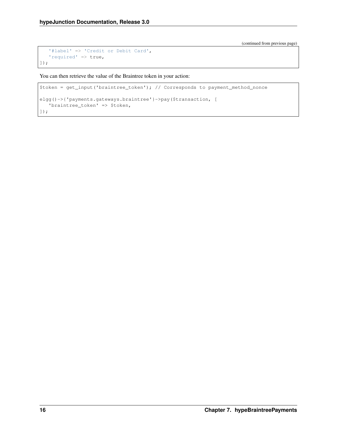(continued from previous page)

```
'#label' => 'Credit or Debit Card',
   'required' => true,
]);
```
You can then retrieve the value of the Braintree token in your action:

```
$token = get_input('braintree_token'); // Corresponds to payment_method_nonce
elgg()->{'payments.gateways.braintree'}->pay($transaction, [
   'braintree_token' => $token,
]);
```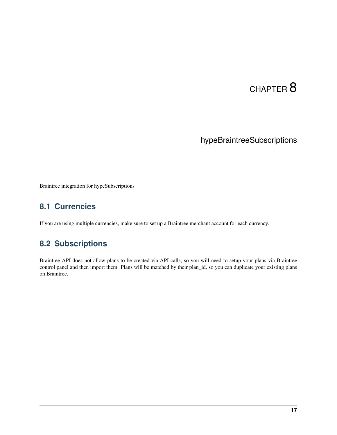### hypeBraintreeSubscriptions

<span id="page-22-0"></span>Braintree integration for hypeSubscriptions

#### <span id="page-22-1"></span>**8.1 Currencies**

If you are using multiple currencies, make sure to set up a Braintree merchant account for each currency.

### <span id="page-22-2"></span>**8.2 Subscriptions**

Braintree API does not allow plans to be created via API calls, so you will need to setup your plans via Braintree control panel and then import them. Plans will be matched by their plan\_id, so you can duplicate your existing plans on Braintree.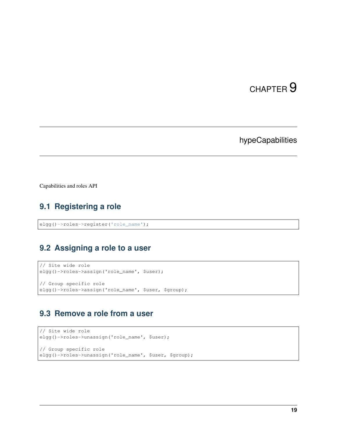### hypeCapabilities

<span id="page-24-0"></span>Capabilities and roles API

### <span id="page-24-1"></span>**9.1 Registering a role**

```
elgg()->roles->register('role_name');
```
#### <span id="page-24-2"></span>**9.2 Assigning a role to a user**

```
// Site wide role
elgg()->roles->assign('role_name', $user);
// Group specific role
elgg()->roles->assign('role_name', $user, $group);
```
#### <span id="page-24-3"></span>**9.3 Remove a role from a user**

```
// Site wide role
elgg()->roles->unassign('role_name', $user);
// Group specific role
elgg()->roles->unassign('role_name', $user, $group);
```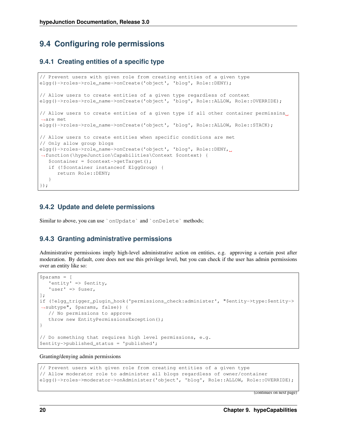#### <span id="page-25-0"></span>**9.4 Configuring role permissions**

#### **9.4.1 Creating entities of a specific type**

```
// Prevent users with given role from creating entities of a given type
elgg()->roles->role_name->onCreate('object', 'blog', Role::DENY);
// Allow users to create entities of a given type regardless of context
elgg()->roles->role_name->onCreate('object', 'blog', Role::ALLOW, Role::OVERRIDE);
// Allow users to create entities of a given type if all other container permissins
˓→are met
elgg()->roles->role_name->onCreate('object', 'blog', Role::ALLOW, Role::STACK);
// Allow users to create entities when specific conditions are met
// Only allow group blogs
elgg()->roles->role_name->onCreate('object', 'blog', Role::DENY,
˓→function(\hypeJunction\Capabilities\Context $context) {
  $container = $context->getTarget();
  if (!$container instanceof ElggGroup) {
      return Role::DENY;
   }
});
```
#### **9.4.2 Update and delete permissions**

Similar to above, you can use `onUpdate` and `onDelete` methods;

#### **9.4.3 Granting administrative permissions**

Administrative permissions imply high-level administrative action on entities, e.g. approving a certain post after moderation. By default, core does not use this privilege level, but you can check if the user has admin permissions over an entity like so:

```
$params = [
   'entity' => $entity,
   'user' => $user,
];
if (!elgg_trigger_plugin_hook('permissions_check:administer', "$entity->type:$entity->
˓→subtype", $params, false)) {
  // No permissions to approve
   throw new EntityPermissionsException();
}
// Do something that requires high level permissions, e.g.
$entity->published_status = 'published';
```
#### Granting/denying admin permissions

```
// Prevent users with given role from creating entities of a given type
// Allow moderator role to administer all blogs regardless of owner/container
elgg()->roles->moderator->onAdminister('object', 'blog', Role::ALLOW, Role::OVERRIDE);
```
(continues on next page)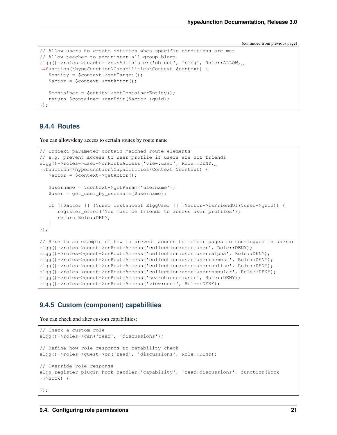(continued from previous page)

```
// Allow users to create entities when specific conditions are met
// Allow teacher to administer all group blogs
elgg()->roles->teacher->canAdminister('object', 'blog', Role::ALLOW,
˓→function(\hypeJunction\Capabilities\Context $context) {
  $entity = $context->getTarget();
  $actor = $context->getActor();
  $contact = $entity->qetContainerEntity();
   return $container->canEdit($actor->guid);
});
```
#### **9.4.4 Routes**

You can allow/deny access to certain routes by route name

```
// Context parameter contain matched route elements
// e.g. prevent access to user profile if users are not friends
elgg()->roles->user->onRouteAccess('view:user', Role::DENY,
˓→function(\hypeJunction\Capabilities\Context $context) {
   \text{Sactor} = \text{Scontext} \rightarrow \text{getactor}();
   $username = $context->getParam('username');
   $user = get_user_by_username($username);
   if (!$actor || !$user instanceof ElggUser || !$actor->isFriendOf($user->guid)) {
      register_error('You must be friends to access user profiles');
      return Role::DENY;
   }
});
// Here is an example of how to prevent access to member pages to non-logged in users:
elgg()->roles->guest->onRouteAccess('collection:user:user', Role::DENY);
elgg()->roles->guest->onRouteAccess('collection:user:user:alpha', Role::DENY);
elgg()->roles->guest->onRouteAccess('collection:user:user:newest', Role::DENY);
elgg()->roles->guest->onRouteAccess('collection:user:user:online', Role::DENY);
elgg()->roles->guest->onRouteAccess('collection:user:user:popular', Role::DENY);
elgg()->roles->guest->onRouteAccess('search:user:user', Role::DENY);
elgg()->roles->guest->onRouteAccess('view:user', Role::DENY);
```
#### **9.4.5 Custom (component) capabilities**

You can check and alter custom capabilities:

```
// Check a custom role
elgg()->roles->can('read', 'discussions');
// Define how role responds to capability check
elgg()->roles->guest->on('read', 'discussions', Role::DENY);
// Override role response
elgg_register_plugin_hook_handler('capability', 'read:discussions', function(Hook
˓→$hook) {
});
```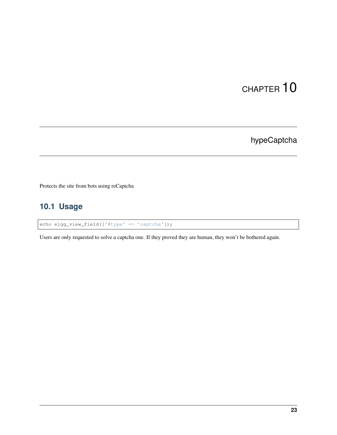hypeCaptcha

<span id="page-28-0"></span>Protects the site from bots using reCaptcha

### <span id="page-28-1"></span>**10.1 Usage**

echo elgg\_view\_field(['#type' => 'captcha']);

Users are only requested to solve a captcha one. If they proved they are human, they won't be bothered again.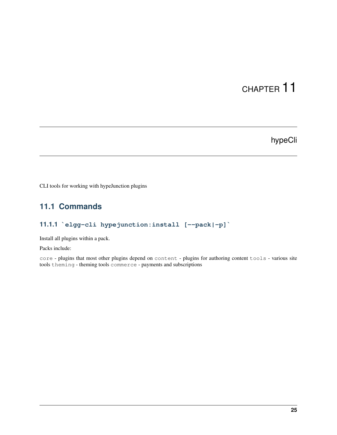### hypeCli

<span id="page-30-0"></span>CLI tools for working with hypeJunction plugins

#### <span id="page-30-1"></span>**11.1 Commands**

#### **11.1.1 `elgg-cli hypejunction:install [--pack|-p]`**

Install all plugins within a pack.

Packs include:

core - plugins that most other plugins depend on content - plugins for authoring content tools - various site tools theming - theming tools commerce - payments and subscriptions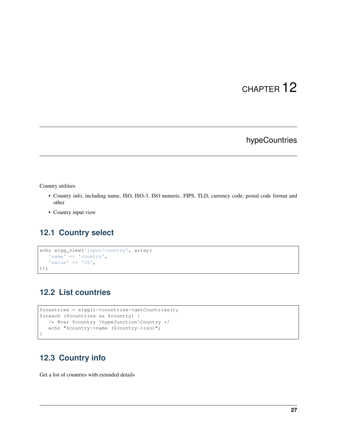### hypeCountries

#### <span id="page-32-0"></span>Country utilities

- Country info, including name, ISO, ISO-3, ISO numeric, FIPS, TLD, currency code, postal code format and other
- Country input view

#### <span id="page-32-1"></span>**12.1 Country select**

```
echo elgg_view('input/country', array(
   'name' => 'country',
   'value' \Rightarrow 'CZ',
));
```
#### <span id="page-32-2"></span>**12.2 List countries**

```
$countries = elgg()->countries->getCountries();
foreach ($countries as $country) {
  /* @var $country \hypeJunction\Country */
  echo "$country->name ($country->iso)";
}
```
#### <span id="page-32-3"></span>**12.3 Country info**

Get a list of countries with extended details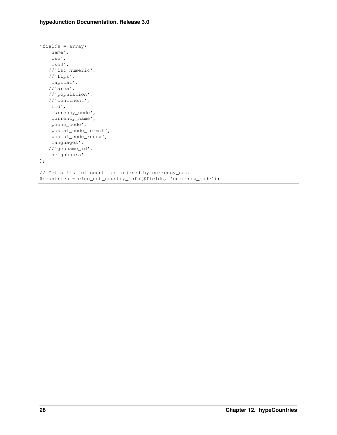```
$fields = array(
  'name',
   'iso',
  'iso3',
   //'iso_numeric',
   //'fips',
   'capital',
   //'area',
   //'population',
   //'continent',
   'tld',
   'currency_code',
   'currency_name',
   'phone_code',
   'postal_code_format',
   'postal_code_regex',
   'languages',
   //'geoname_id',
   'neighbours'
);
// Get a list of countries ordered by currency_code
$countries = elgg_get_country_info($fields, 'currency_code');
```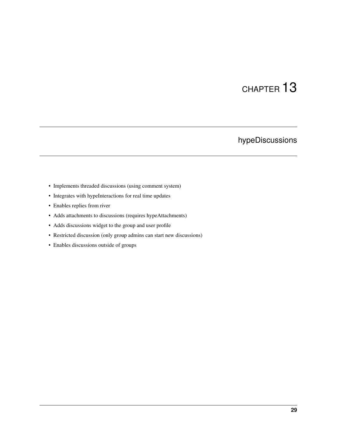## hypeDiscussions

- <span id="page-34-0"></span>• Implements threaded discussions (using comment system)
- Integrates with hypeInteractions for real time updates
- Enables replies from river
- Adds attachments to discussions (requires hypeAttachments)
- Adds discussions widget to the group and user profile
- Restricted discussion (only group admins can start new discussions)
- Enables discussions outside of groups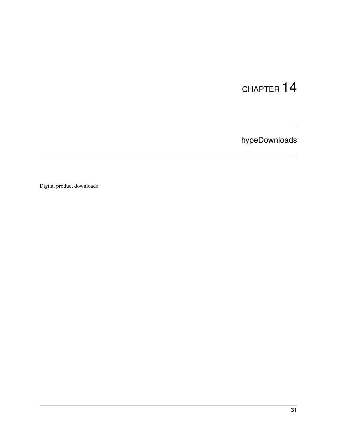hypeDownloads

Digital product downloads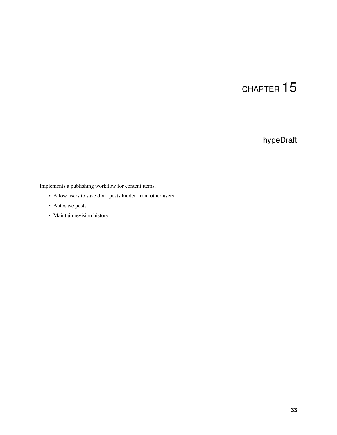### hypeDraft

Implements a publishing workflow for content items.

- Allow users to save draft posts hidden from other users
- Autosave posts
- Maintain revision history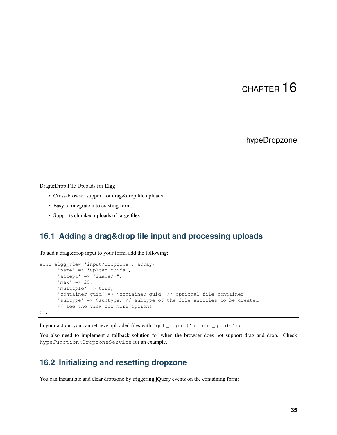#### hypeDropzone

Drag&Drop File Uploads for Elgg

- Cross-browser support for drag&drop file uploads
- Easy to integrate into existing forms
- Supports chunked uploads of large files

#### **16.1 Adding a drag&drop file input and processing uploads**

To add a drag&drop input to your form, add the following:

```
echo elgg_view('input/dropzone', array(
      'name' => 'upload_guids',
      'accept' => "image/*",
      'max' => 25,
      'multiple' => true,
      'container_guid' => $container_guid, // optional file container
      'subtype' => $subtype, // subtype of the file entities to be created
      // see the view for more options
));
```
In your action, you can retrieve uploaded files with `get\_input('upload\_guids'); `

You also need to implement a fallback solution for when the browser does not support drag and drop. Check hypeJunction\DropzoneService for an example.

#### **16.2 Initializing and resetting dropzone**

You can instantiate and clear dropzone by triggering jQuery events on the containing form: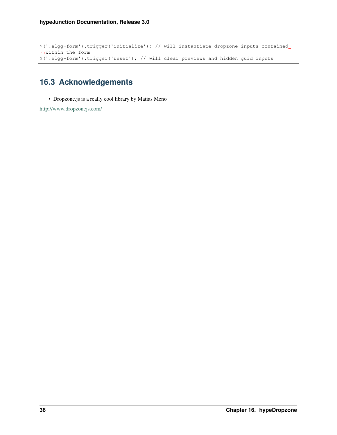```
$('.elgg-form').trigger('initialize'); // will instantiate dropzone inputs contained
˓→within the form
$('.elgg-form').trigger('reset'); // will clear previews and hidden guid inputs
```
#### **16.3 Acknowledgements**

• Dropzone.js is a really cool library by Matias Meno

<http://www.dropzonejs.com/>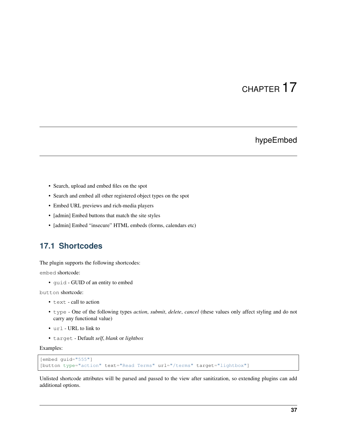#### hypeEmbed

- Search, upload and embed files on the spot
- Search and embed all other registered object types on the spot
- Embed URL previews and rich-media players
- [admin] Embed buttons that match the site styles
- [admin] Embed "insecure" HTML embeds (forms, calendars etc)

#### **17.1 Shortcodes**

The plugin supports the following shortcodes:

embed shortcode:

• guid - GUID of an entity to embed

button shortcode:

- text call to action
- type One of the following types *action*, *submit*, *delete*, *cancel* (these values only affect styling and do not carry any functional value)
- url URL to link to
- target Default *self*, *blank* or *lightbox*

Examples:

```
[embed guid="555"]
[button type="action" text="Read Terms" url="/terms" target="lightbox"]
```
Unlisted shortcode attributes will be parsed and passed to the view after sanitization, so extending plugins can add additional options.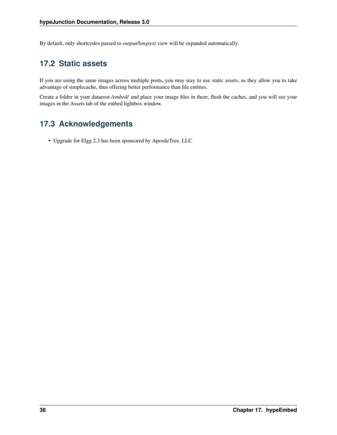By default, only shortcodes passed to *output/longtext* view will be expanded automatically.

#### **17.2 Static assets**

If you are using the same images across multiple posts, you may way to use static assets, as they allow you to take advantage of simplecache, thus offering better performance than file entities.

Create a folder in your dataroot */embed/* and place your image files in there, flush the caches, and you will see your images in the Assets tab of the embed lightbox window.

#### **17.3 Acknowledgements**

• Upgrade for Elgg 2.3 has been sponsored by ApostleTree, LLC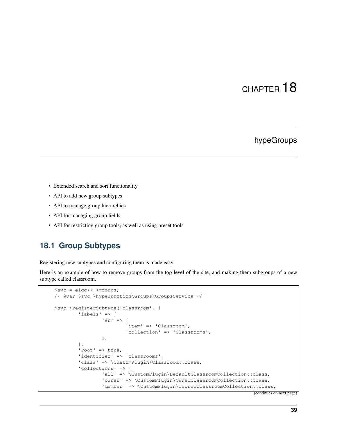#### hypeGroups

- Extended search and sort functionality
- API to add new group subtypes
- API to manage group hierarchies
- API for managing group fields
- API for restricting group tools, as well as using preset tools

#### **18.1 Group Subtypes**

Registering new subtypes and configuring them is made easy.

Here is an example of how to remove groups from the top level of the site, and making them subgroups of a new subtype called classroom.

```
$svc = elgg()->groups;
/* @var $svc \hypeJunction\Groups\GroupsService */
$svc->registerSubtype('classroom', [
        'labels' => [
                'en' => [
                        'item' => 'Classroom',
                        'collection' => 'Classrooms',
                ],
        ],
        'root' => true,
        'identifier' => 'classrooms',
        'class' => \CustomPlugin\Classroom::class,
        'collections' => [
                'all' => \CustomPlugin\DefaultClassroomCollection::class,
                'owner' => \CustomPlugin\OwnedClassroomCollection::class,
                'member' => \CustomPlugin\JoinedClassroomCollection::class,
```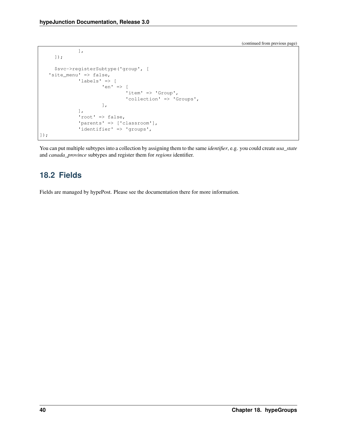```
],
     ]);
     $svc->registerSubtype('group', [
   'site_menu' => false,
             'labels' => [
                     'en' => [
                              'item' => 'Group',
                              'collection' => 'Groups',
                      ],
             ],
             'root' => false,
             'parents' => ['classroom'],
             'identifier' => 'groups',
]);
```
You can put multiple subtypes into a collection by assigning them to the same *identifier*, e.g. you could create *usa\_state* and *canada\_province* subtypes and register them for *regions* identifier.

#### **18.2 Fields**

Fields are managed by hypePost. Please see the documentation there for more information.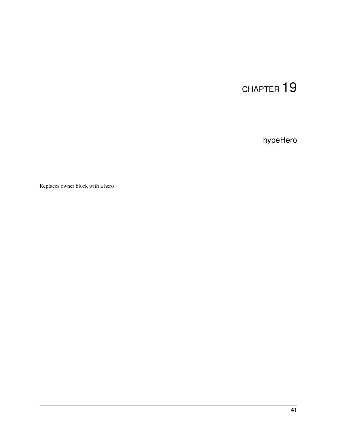hypeHero

Replaces owner block with a hero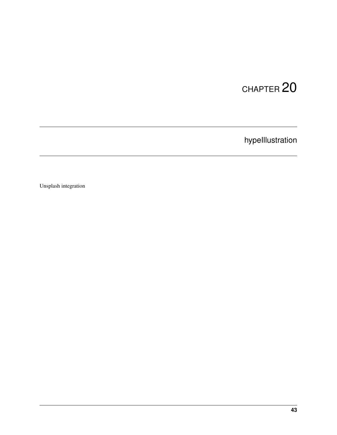hypeIllustration

Unsplash integration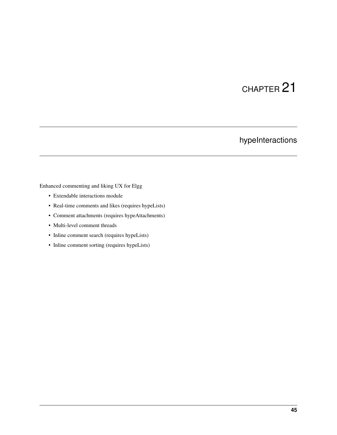### hypeInteractions

Enhanced commenting and liking UX for Elgg

- Extendable interactions module
- Real-time comments and likes (requires hypeLists)
- Comment attachments (requires hypeAttachments)
- Multi-level comment threads
- Inline comment search (requires hypeLists)
- Inline comment sorting (requires hypeLists)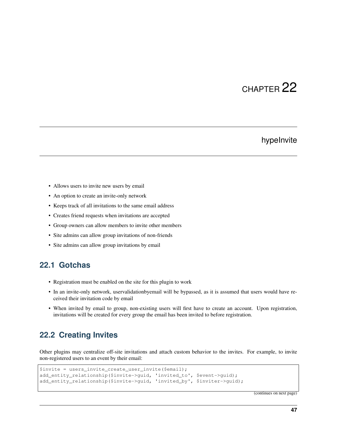#### hypeInvite

- Allows users to invite new users by email
- An option to create an invite-only network
- Keeps track of all invitations to the same email address
- Creates friend requests when invitations are accepted
- Group owners can allow members to invite other members
- Site admins can allow group invitations of non-friends
- Site admins can allow group invitations by email

#### **22.1 Gotchas**

- Registration must be enabled on the site for this plugin to work
- In an invite-only network, uservalidationbyemail will be bypassed, as it is assumed that users would have received their invitation code by email
- When invited by email to group, non-existing users will first have to create an account. Upon registration, invitations will be created for every group the email has been invited to before registration.

#### **22.2 Creating Invites**

Other plugins may centralize off-site invitations and attach custom behavior to the invites. For example, to invite non-registered users to an event by their email:

```
$invite = users_invite_create_user_invite($email);
add_entity_relationship($invite->guid, 'invited_to', $event->guid);
add_entity_relationship($invite->guid, 'invited_by', $inviter->guid);
```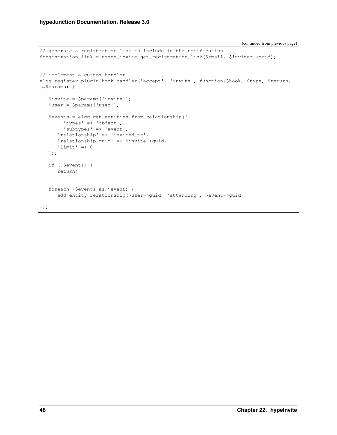```
// generate a registration link to include in the notification
$registration_link = users_invite_get_registration_link($email, $inviter->guid);
// implement a custom handler
elgg_register_plugin_hook_handler('accept', 'invite', function($hook, $type, $return,
˓→$params) {
  $invite = $params['invite'];
   $user = $params['user'];
   $events = elgg_get_entities_from_relationship([
       'types' => 'object',
       'subtypes' => 'event',
      'relationship' => 'invited_to',
      'relationship_guid' => $invite->guid,
      'limit' => 0,]);
  if (!$events) {
      return;
   }
  foreach ($events as $event) {
      add_entity_relationship($user->guid, 'attending', $event->guid);
   }
});
```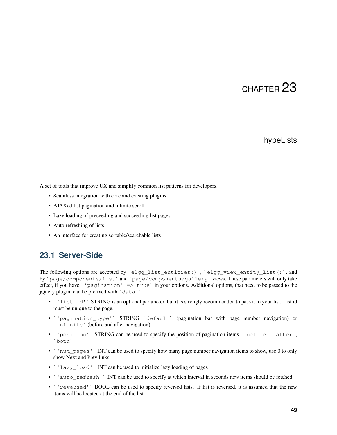#### hypeLists

A set of tools that improve UX and simplify common list patterns for developers.

- Seamless integration with core and existing plugins
- AJAXed list pagination and infinite scroll
- Lazy loading of preceeding and succeeding list pages
- Auto refreshing of lists
- An interface for creating sortable/searchable lists

#### **23.1 Server-Side**

The following options are accepted by `elgg\_list\_entities()`, `elgg\_view\_entity\_list()`, and by `page/components/list` and `page/components/gallery` views. These parameters will only take effect, if you have `'pagination'  $\Rightarrow$  true `in your options. Additional options, that need to be passed to the jQuery plugin, can be prefixed with  $\degree$  data- $\degree$ 

- `'list\_id'` STRING is an optional parameter, but it is strongly recommended to pass it to your list. List id must be unique to the page.
- `'pagination\_type'` STRING `default` (pagination bar with page number navigation) or `infinite` (before and after navigation)
- `'position'` STRING can be used to specify the position of pagination items. `before`, `after`, `both`
- ' 'num\_pages' ` INT can be used to specify how many page number navigation items to show, use 0 to only show Next and Prev links
- 'lazy\_load' INT can be used to initialize lazy loading of pages
- `'auto\_refresh'` INT can be used to specify at which interval in seconds new items should be fetched
- `'reversed'` BOOL can be used to specify reversed lists. If list is reversed, it is assumed that the new items will be located at the end of the list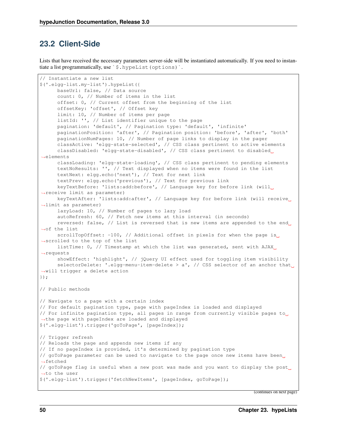#### **23.2 Client-Side**

Lists that have received the necessary parameters server-side will be instantiated automatically. If you need to instantiate a list programmatically, use `\$.hypeList(options)`.

```
// Instantiate a new list
$('.elgg-list.my-list').hypeList({
      baseUrl: false, // Data source
      count: 0, // Number of items in the list
      offset: 0, // Current offset from the beginning of the list
      offsetKey: 'offset', // Offset key
      limit: 10, // Number of items per page
      listId: '', // List identifier unique to the page
      pagination: 'default', // Pagination type: 'default', 'infinite'
      paginationPosition: 'after', // Pagination position: 'before', 'after', 'both'
      paginationNumPages: 10, // Number of page links to display in the pager
      classActive: 'elgg-state-selected', // CSS class pertinent to active elements
      classDisabled: 'elgg-state-disabled', // CSS class pertinent to disabled
˓→elements
      classLoading: 'elgg-state-loading', // CSS class pertinent to pending elements
      textNoResults: '', // Text displayed when no items were found in the list
      textNext: elgg.echo('next'), // Text for next link
      textPrev: elgg.echo('previous'), // Text for previous link
      keyTextBefore: 'lists:add:before', // Language key for before link (will
˓→receive limit as parameter)
      keyTextAfter: 'lists:add:after', // Language key for before link (will receive
˓→limit as parameter)
      lazyLoad: 10, // Number of pages to lazy load
      autoRefresh: 60, // Fetch new items at this interval (in seconds)
      reversed: false, // List is reversed that is new items are appended to the end
˓→of the list
      scrollTopOffset: -100, // Additional offset in pixels for when the page is
˓→scrolled to the top of the list
      listTime: 0, // Timestamp at which the list was generated, sent with AJAX_{11}˓→requests
      showEffect: 'highlight', // jQuery UI effect used for toggling item visibility
      selectorDelete: '.elgg-menu-item-delete > a', // CSS selector of an anchor that
˓→will trigger a delete action
});
// Public methods
// Navigate to a page with a certain index
// For default pagination type, page with pageIndex is loaded and displayed
// For infinite pagination type, all pages in range from currently visible pages to
˓→the page with pageIndex are loaded and displayed
$('.elgg-list').trigger('goToPage', [pageIndex]);
// Trigger refresh
// Reloads the page and appends new items if any
// If no pageIndex is provided, it's determined by pagination type
// goToPage parameter can be used to navigate to the page once new items have been
˓→fetched
// goToPage flag is useful when a new post was made and you want to display the post
˓→to the user
$('.elgg-list').trigger('fetchNewItems', [pageIndex, goToPage]);
```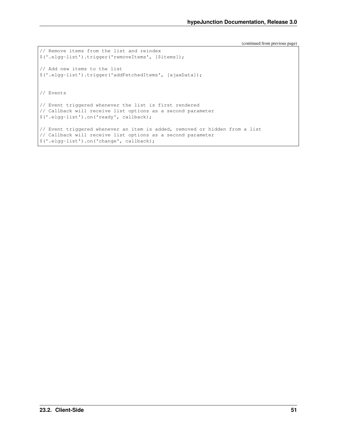```
// Remove items from the list and reindex
$('.elgg-list').trigger('removeItems', [$items]);
// Add new items to the list
$('.elgg-list').trigger('addFetchedItems', [ajaxData]);
// Events
// Event triggered whenever the list is first rendered
// Callback will receive list options as a second parameter
$('.elgg-list').on('ready', callback);
// Event triggered whenever an item is added, removed or hidden from a list
// Callback will receive list options as a second parameter
$('.elgg-list').on('change', callback);
```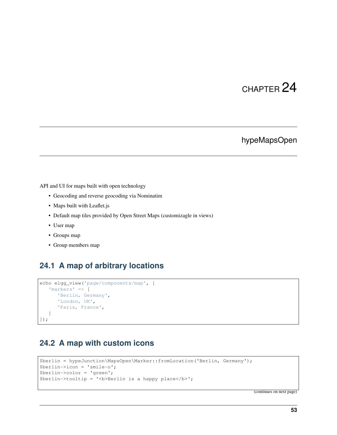#### hypeMapsOpen

API and UI for maps built with open technology

- Geocoding and reverse geocoding via Nominatim
- Maps built with Leaflet.js
- Default map tiles provided by Open Street Maps (customizagle in views)
- User map
- Groups map
- Group members map

#### **24.1 A map of arbitrary locations**

```
echo elgg_view('page/components/map', [
   'markers' => [
      'Berlin, Germany',
      'London, UK',
      'Paris, France',
   ]
]);
```
#### **24.2 A map with custom icons**

```
$berlin = hypeJunction\MapsOpen\Marker::fromLocation('Berlin, Germany');
$berlin->icon = 'smile-o';
$berlin->color = 'green';
$berlin->tooltip = '<b>Berlin is a happy place</b>';
```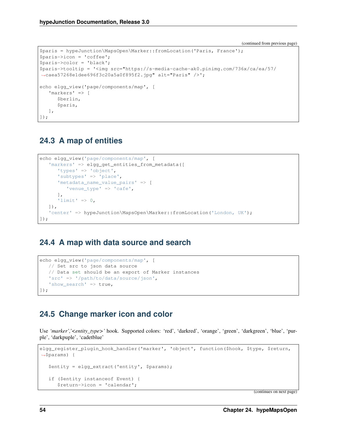```
$paris = hypeJunction\MapsOpen\Marker::fromLocation('Paris, France');
$paris->icon = 'coffee';
$paris->color = 'black';
$paris->tooltip = '<img src="https://s-media-cache-ak0.pinimg.com/736x/ca/ea/57/
˓→caea57268e1dee696f3c20a5a0f895f2.jpg" alt="Paris" />';
echo elgg_view('page/components/map', [
   'markers' => [
      $berlin,
      $paris,
   ],
]);
```
#### **24.3 A map of entities**

```
echo elgg_view('page/components/map', [
   'markers' => elgg_get_entities_from_metadata([
      'types' => 'object',
      'subtypes' => 'place',
      'metadata_name_value_pairs' => [
         'venue type' => 'cafe',
      \frac{1}{2}'limit' => 0,
  ]),
   'center' => hypeJunction\MapsOpen\Marker::fromLocation('London, UK');
]);
```
#### **24.4 A map with data source and search**

```
echo elgg_view('page/components/map', [
  // Set src to json data source
  // Data set should be an export of Marker instances
  'src' => '/path/to/data/source/json',
  'show_search' => true,
]);
```
#### **24.5 Change marker icon and color**

Use 'marker','<entity\_type>' hook. Supported colors: 'red', 'darkred', 'orange', 'green', 'darkgreen', 'blue', 'purple', 'darkpuple', 'cadetblue'

```
elgg_register_plugin_hook_handler('marker', 'object', function($hook, $type, $return,
˓→$params) {
   $entity = elgg_extract('entity', $params);
   if ($entity instanceof Event) {
      $return->icon = 'calendar';
```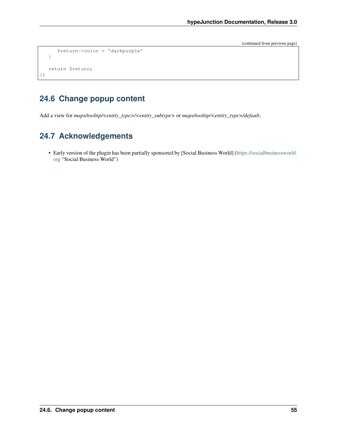```
$return->color = 'darkpurple'
   }
   return $return;
})
```
#### **24.6 Change popup content**

Add a view for *maps/tooltip/<entity\_type>/<entity\_subtype>* or *maps/tooltip/<entity\_type>/default*;

#### **24.7 Acknowledgements**

• Early version of the plugin has been partially sponsored by [Social Business World] [\(https://socialbusinessworld.](https://socialbusinessworld.org) [org](https://socialbusinessworld.org) "Social Business World")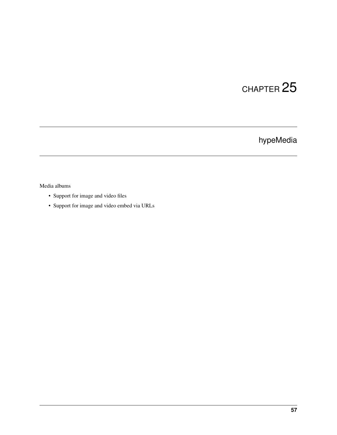### hypeMedia

#### Media albums

- Support for image and video files
- Support for image and video embed via URLs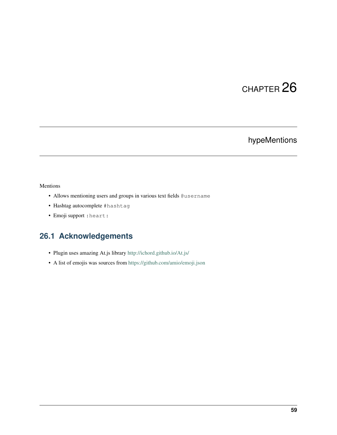### hypeMentions

#### Mentions

- Allows mentioning users and groups in various text fields @username
- Hashtag autocomplete #hashtag
- Emoji support :heart:

#### **26.1 Acknowledgements**

- Plugin uses amazing At.js library <http://ichord.github.io/At.js/>
- A list of emojis was sources from <https://github.com/amio/emoji.json>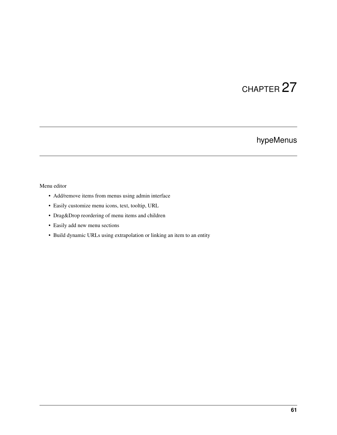### hypeMenus

#### Menu editor

- Add/remove items from menus using admin interface
- Easily customize menu icons, text, tooltip, URL
- Drag&Drop reordering of menu items and children
- Easily add new menu sections
- Build dynamic URLs using extrapolation or linking an item to an entity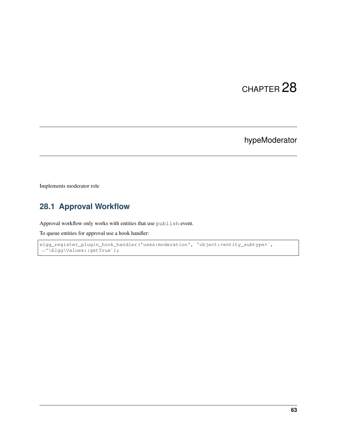### hypeModerator

Implements moderator role

### **28.1 Approval Workflow**

Approval workflow only works with entities that use publish event.

To queue entities for approval use a hook handler:

```
elgg_register_plugin_hook_handler('uses:moderation', 'object:<entity_subtype>',
˓→'\Elgg\Values::getTrue`);
```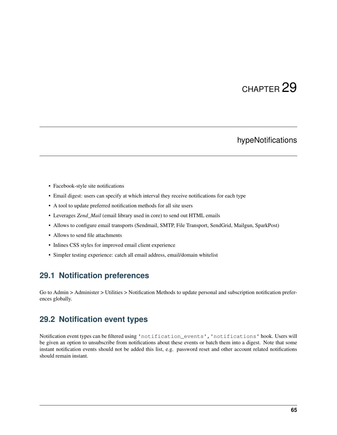#### hypeNotifications

- Facebook-style site notifications
- Email digest: users can specify at which interval they receive notifications for each type
- A tool to update preferred notification methods for all site users
- Leverages *Zend\_Mail* (email library used in core) to send out HTML emails
- Allows to configure email transports (Sendmail, SMTP, File Transport, SendGrid, Mailgun, SparkPost)
- Allows to send file attachments
- Inlines CSS styles for improved email client experience
- Simpler testing experience: catch all email address, email/domain whitelist

#### **29.1 Notification preferences**

Go to Admin > Administer > Utilities > Notification Methods to update personal and subscription notification preferences globally.

#### **29.2 Notification event types**

Notification event types can be filtered using 'notification\_events','notifications' hook. Users will be given an option to unsubscribe from notifications about these events or batch them into a digest. Note that some instant notification events should not be added this list, e.g. password reset and other account related notifications should remain instant.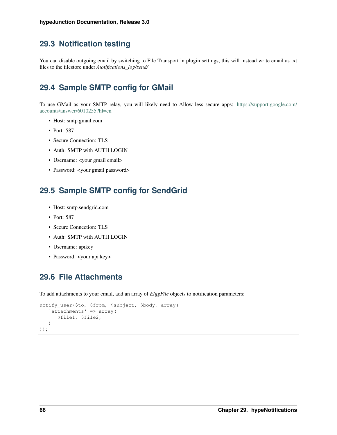#### **29.3 Notification testing**

You can disable outgoing email by switching to File Transport in plugin settings, this will instead write email as txt files to the filestore under */notifications\_log/zend/*

#### **29.4 Sample SMTP config for GMail**

To use GMail as your SMTP relay, you will likely need to Allow less secure apps: [https://support.google.com/](https://support.google.com/accounts/answer/6010255?hl=en) [accounts/answer/6010255?hl=en](https://support.google.com/accounts/answer/6010255?hl=en)

- Host: smtp.gmail.com
- Port: 587
- Secure Connection: TLS
- Auth: SMTP with AUTH LOGIN
- Username: <your gmail email>
- Password: <your gmail password>

#### **29.5 Sample SMTP config for SendGrid**

- Host: smtp.sendgrid.com
- Port: 587
- Secure Connection: TLS
- Auth: SMTP with AUTH LOGIN
- Username: apikey
- Password: <your api key>

#### **29.6 File Attachments**

To add attachments to your email, add an array of *ElggFile* objects to notification parameters:

```
notify_user($to, $from, $subject, $body, array(
   'attachments' => array(
      $file1, $file2,
   )
));
```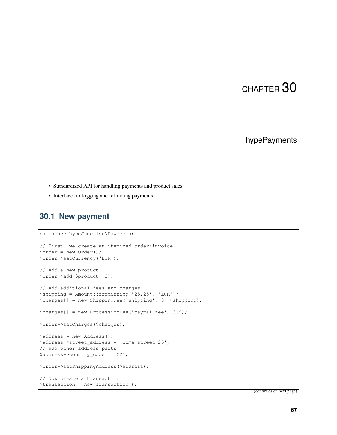### hypePayments

- Standardized API for handling payments and product sales
- Interface for logging and refunding payments

#### **30.1 New payment**

```
namespace hypeJunction\Payments;
// First, we create an itemized order/invoice
$order = new Order();
$order->setCurrency('EUR');
// Add a new product
$order->add($product, 2);
// Add additional fees and charges
$shipping = Amount::fromString('25.25', 'EUR');
$charges[] = new ShippingFee('shipping', 0, $shipping);
$charges[] = new ProcessingFee('paypal_fee', 3.9);
$order->setCharges($charges);
$address = new Address();
$address->street_address = 'Some street 25';
// add other address parts
$address->country_code = 'CZ';
$order->setShippingAddress($address);
// Now create a transaction
$transaction = new Transaction();
```
(continues on next page)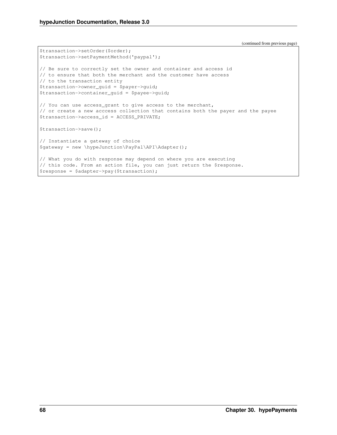(continued from previous page)

```
$transaction->setOrder($order);
$transaction->setPaymentMethod('paypal');
// Be sure to correctly set the owner and container and access id
// to ensure that both the merchant and the customer have access
// to the transaction entity
$transaction->owner_guid = $payer->guid;
$transaction->container_guid = $payee->guid;
// You can use access_grant to give access to the merchant,
// or create a new acccess collection that contains both the payer and the payee
$transaction->access_id = ACCESS_PRIVATE;
$transaction->save();
// Instantiate a gateway of choice
$gateway = new \hypeJunction\PayPal\API\Adapter();
// What you do with response may depend on where you are executing
// this code. From an action file, you can just return the $response.
$response = $adapter->pay($transaction);
```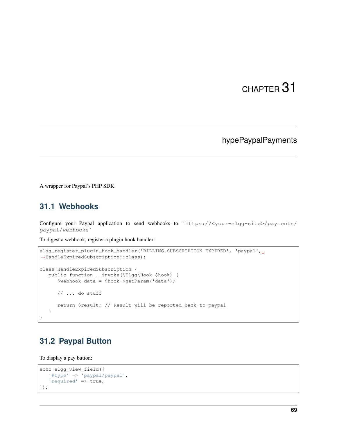### hypePaypalPayments

A wrapper for Paypal's PHP SDK

### **31.1 Webhooks**

Configure your Paypal application to send webhooks to `https://<your-elgg-site>/payments/ paypal/webhooks`

To digest a webhook, register a plugin hook handler:

```
elgg_register_plugin_hook_handler('BILLING.SUBSCRIPTION.EXPIRED', 'paypal',
˓→HandleExpiredSubscription::class);
class HandleExpiredSubscription {
  public function __invoke(\Elgg\Hook $hook) {
      $webhook_data = $hook->getParam('data');
      // ... do stuff
      return $result; // Result will be reported back to paypal
   }
}
```
#### **31.2 Paypal Button**

To display a pay button:

```
echo elgg_view_field([
  '#type' => 'paypal/paypal',
   'required' => true,
]);
```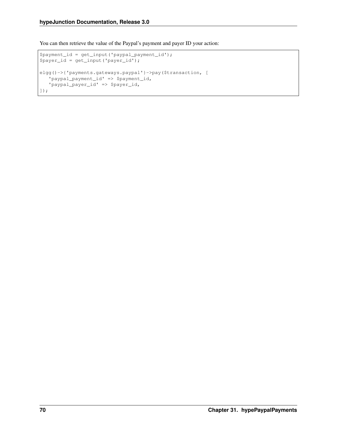You can then retrieve the value of the Paypal's payment and payer ID your action:

```
$payment_id = get_input('paypal_payment_id');
$payer_id = get_input('payer_id');
elgg()->{'payments.gateways.paypal'}->pay($transaction, [
   'paypal_payment_id' => $payment_id,
   'paypal_payer_id' => $payer_id,
]);
```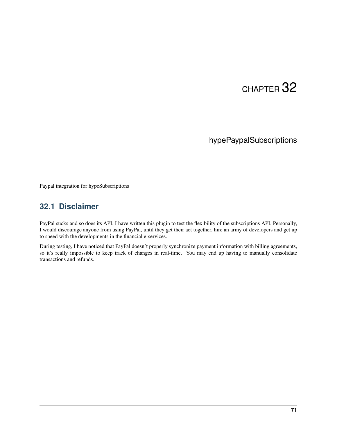## hypePaypalSubscriptions

Paypal integration for hypeSubscriptions

### **32.1 Disclaimer**

PayPal sucks and so does its API. I have written this plugin to test the flexibility of the subscriptions API. Personally, I would discourage anyone from using PayPal, until they get their act together, hire an army of developers and get up to speed with the developments in the financial e-services.

During testing, I have noticed that PayPal doesn't properly synchronize payment information with billing agreements, so it's really impossible to keep track of changes in real-time. You may end up having to manually consolidate transactions and refunds.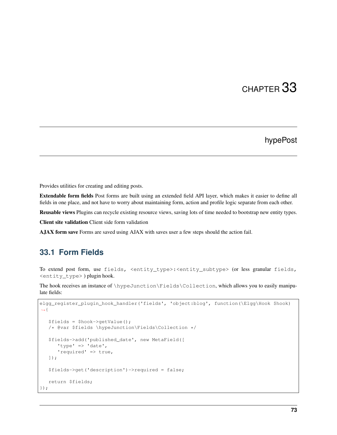### hypePost

Provides utilities for creating and editing posts.

Extendable form fields Post forms are built using an extended field API layer, which makes it easier to define all fields in one place, and not have to worry about maintaining form, action and profile logic separate from each other.

Reusable views Plugins can recycle existing resource views, saving lots of time needed to bootstrap new entity types.

Client site validation Client side form validation

AJAX form save Forms are saved using AJAX with saves user a few steps should the action fail.

#### **33.1 Form Fields**

To extend post form, use fields, <entity\_type>:<entity\_subtype> (or less granular fields, <entity\_type> ) plugin hook.

The hook receives an instance of \hypeJunction\Fields\Collection, which allows you to easily manipulate fields:

```
elgg_register_plugin_hook_handler('fields', 'object:blog', function(\Elgg\Hook $hook)
˓→{
   $fields = $hook->getValue();
   /* @var $fields \hypeJunction\Fields\Collection */
   $fields->add('published_date', new MetaField([
      'type' => 'date',
      'required' => true,
   ]);
   $fields->get('description')->required = false;
   return $fields;
});
```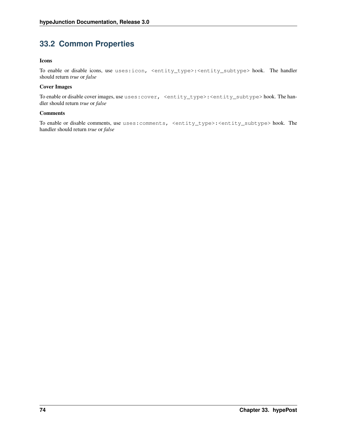### **33.2 Common Properties**

#### Icons

To enable or disable icons, use uses:icon, <entity\_type>:<entity\_subtype> hook. The handler should return *true* or *false*

#### Cover Images

To enable or disable cover images, use uses: cover, <entity\_type>:<entity\_subtype> hook. The handler should return *true* or *false*

#### Comments

To enable or disable comments, use uses:comments, <entity\_type>:<entity\_subtype> hook. The handler should return *true* or *false*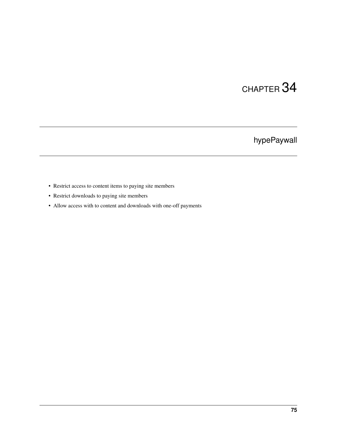## hypePaywall

- Restrict access to content items to paying site members
- Restrict downloads to paying site members
- Allow access with to content and downloads with one-off payments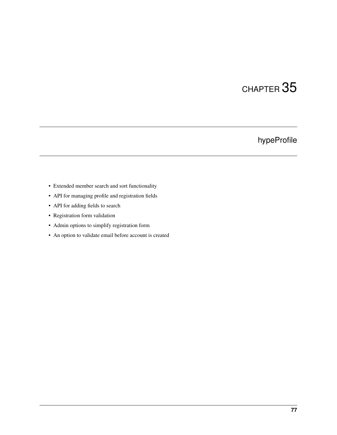## hypeProfile

- Extended member search and sort functionality
- API for managing profile and registration fields
- API for adding fields to search
- Registration form validation
- Admin options to simplify registration form
- An option to validate email before account is created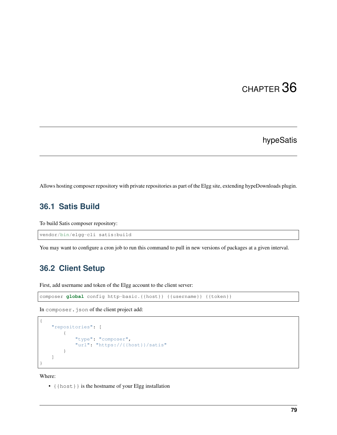### hypeSatis

Allows hosting composer repository with private repositories as part of the Elgg site, extending hypeDownloads plugin.

### **36.1 Satis Build**

To build Satis composer repository:

vendor/bin/elgg-cli satis:build

You may want to configure a cron job to run this command to pull in new versions of packages at a given interval.

#### **36.2 Client Setup**

First, add username and token of the Elgg account to the client server:

```
composer global config http-basic.{{host}} {{username}} {{token}}
```
In composer.json of the client project add:

```
{
    "repositories": [
        {
            "type": "composer",
            "url": "https://{{host}}/satis"
        }
    ]
}
```
Where:

• {{host}} is the hostname of your Elgg installation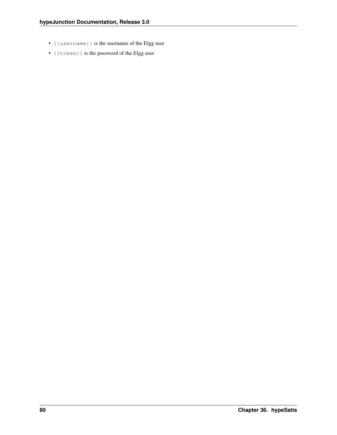- {{username}} is the username of the Elgg user
- {{token}} is the password of the Elgg user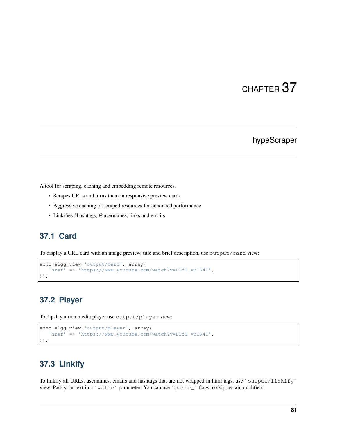#### hypeScraper

A tool for scraping, caching and embedding remote resources.

- Scrapes URLs and turns them in responsive preview cards
- Aggressive caching of scraped resources for enhanced performance
- Linkifies #hashtags, @usernames, links and emails

#### **37.1 Card**

To display a URL card with an image preview, title and brief description, use output/card view:

```
echo elgg_view('output/card', array(
   'href' => 'https://www.youtube.com/watch?v=Dlf1_vuIR4I',
));
```
### **37.2 Player**

To dipslay a rich media player use output/player view:

```
echo elgg_view('output/player', array(
   'href' => 'https://www.youtube.com/watch?v=Dlf1_vuIR4I',
));
```
### **37.3 Linkify**

To linkify all URLs, usernames, emails and hashtags that are not wrapped in html tags, use `output/linkify` view. Pass your text in a `value` parameter. You can use `parse\_` flags to skip certain qualifiers.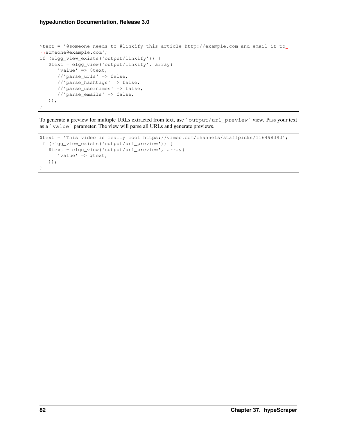```
$text = '@someone needs to #linkify this article http://example.com and email it to
˓→someone@example.com';
if (elgg_view_exists('output/linkify')) {
  $text = elgg_view('output/linkify', array(
     'value' => $text,
     //'parse_urls' => false,
     //'parse_hashtags' => false,
     //'parse_usernames' => false,
     //'parse_emails' => false,
  ));
}
```
To generate a preview for multiple URLs extracted from text, use `output/url\_preview` view. Pass your text as a `value` parameter. The view will parse all URLs and generate previews.

```
$text = 'This video is really cool https://vimeo.com/channels/staffpicks/116498390';
if (elgg_view_exists('output/url_preview')) {
  $text = elgg_view('output/url_preview', array(
      'value' => $text,
  ));
}
```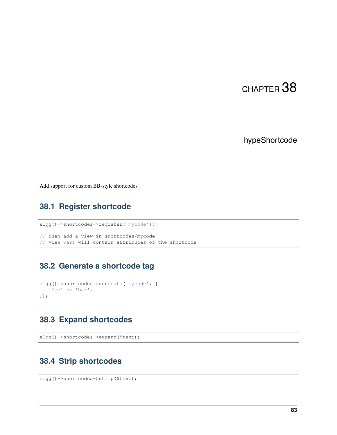### hypeShortcode

Add support for custom BB-style shortcodes

## **38.1 Register shortcode**

```
elgg()->shortcodes->register('mycode');
// then add a view in shortcodes/mycode
// view vars will contain attributes of the shortcode
```
#### **38.2 Generate a shortcode tag**

```
elgg()->shortcodes->generate('mycode', [
   'foo' \Rightarrow 'bar',
]);
```
### **38.3 Expand shortcodes**

```
elgg()->shortcodes->expand($text);
```
### **38.4 Strip shortcodes**

```
elgg()->shortcodes->strip($text);
```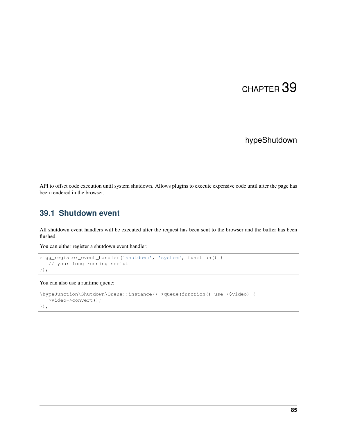### hypeShutdown

API to offset code execution until system shutdown. Allows plugins to execute expensive code until after the page has been rendered in the browser.

### **39.1 Shutdown event**

All shutdown event handlers will be executed after the request has been sent to the browser and the buffer has been flushed.

You can either register a shutdown event handler:

```
elgg_register_event_handler('shutdown', 'system', function() {
   // your long running script
});
```
You can also use a runtime queue:

```
\hypeJunction\Shutdown\Queue::instance()->queue(function() use ($video) {
   $video->convert();
});
```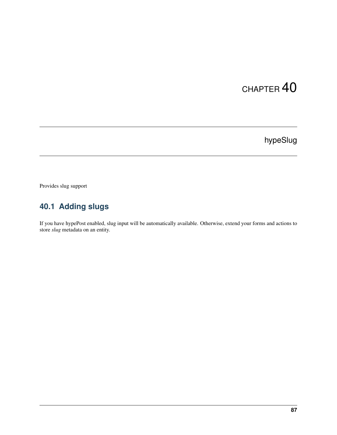## hypeSlug

Provides slug support

## **40.1 Adding slugs**

If you have hypePost enabled, slug input will be automatically available. Otherwise, extend your forms and actions to store *slug* metadata on an entity.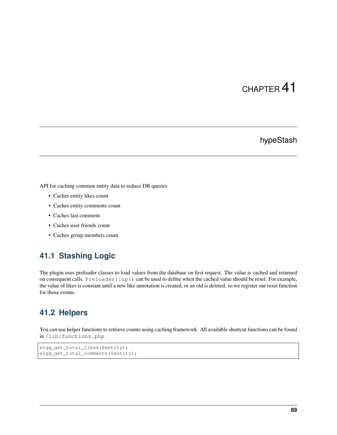### hypeStash

API for caching common entity data to reduce DB queries

- Caches entity likes count
- Caches entity comments count
- Caches last comment
- Caches user friends count
- Caches group members count

#### **41.1 Stashing Logic**

The plugin uses preloader classes to load values from the database on first request. The value is cached and returned on consequent calls. Preloader::up() can be used to define when the cached value should be reset. For example, the value of likes is constant until a new like annotation is created, or an old is deleted, so we register our reset function for those events.

#### **41.2 Helpers**

You can use helper functions to retrieve counts using caching framework. All available shortcut functions can be found in /lib/functions.php

```
elgg_get_total_likes($entity);
elgg_get_total_comments($entity);
```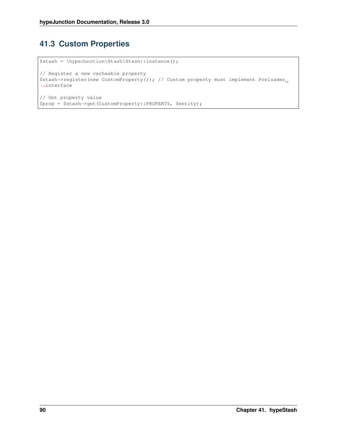## **41.3 Custom Properties**

```
$stash = \hypeJunction\Stash\Stash::instance();
// Register a new cacheable property
$stash->register(new CustomProperty()); // Custom property must implement Preloader
˓→interface
// Get property value
$prop = $stash->get(CustomProperty::PROPERTY, $entity);
```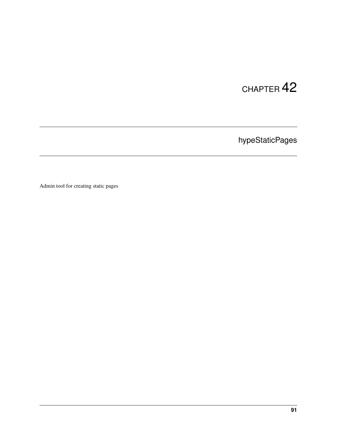hypeStaticPages

Admin tool for creating static pages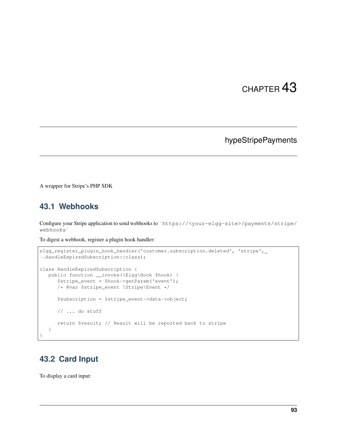### hypeStripePayments

A wrapper for Stripe's PHP SDK

#### **43.1 Webhooks**

Configure your Stripe application to send webhooks to `https://<your-elgg-site>/payments/stripe/ webhooks`

To digest a webhook, register a plugin hook handler:

```
elgg_register_plugin_hook_handler('customer.subscription.deleted', 'stripe',
˓→HandleExpiredSubscription::class);
class HandleExpiredSubscription {
   public function __invoke(\Elgg\Hook $hook) {
      $stripe_event = $hook->getParam('event');
      /* @var $stripe_event \Stripe\Event */
      $subscription = $stripe_event->data->object;
      // ... do stuff
      return $result; // Result will be reported back to stripe
  }
}
```
#### **43.2 Card Input**

To display a card input: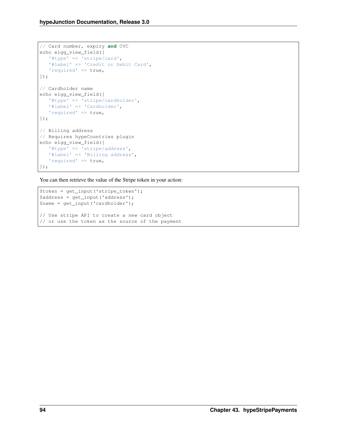```
// Card number, expiry and CVC
echo elgg_view_field([
   '#type' => 'stripe/card',
   '#label' => 'Credit or Debit Card',
   'required' => true,
]);
// Cardholder name
echo elgg_view_field([
   '#type' => 'stripe/cardholder',
   '#label' => 'Cardholder',
   'required' => true,
]);
// Billing address
// Requires hypeCountries plugin
echo elgg_view_field([
   '#type' => 'stripe/address',
   '#label' => 'Billing address',
   'required' => true,
]);
```
You can then retrieve the value of the Stripe token in your action:

```
$token = get_input('stripe_token');
$address = get\_input('address');$name = get_input('cardholder');
// Use stripe API to create a new card object
// or use the token as the source of the payment
```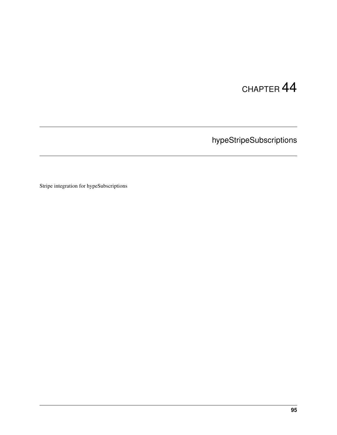hypeStripeSubscriptions

Stripe integration for hypeSubscriptions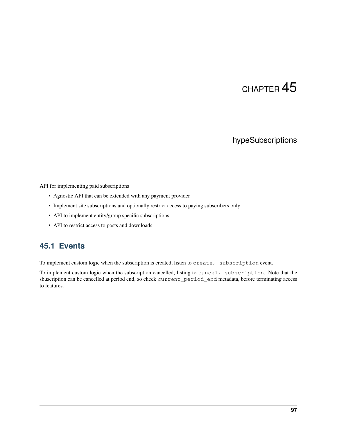### hypeSubscriptions

API for implementing paid subscriptions

- Agnostic API that can be extended with any payment provider
- Implement site subscriptions and optionally restrict access to paying subscribers only
- API to implement entity/group specific subscriptions
- API to restrict access to posts and downloads

### **45.1 Events**

To implement custom logic when the subscription is created, listen to create, subscription event.

To implement custom logic when the subscription cancelled, listing to cancel, subscription. Note that the sbuscription can be cancelled at period end, so check current\_period\_end metadata, before terminating access to features.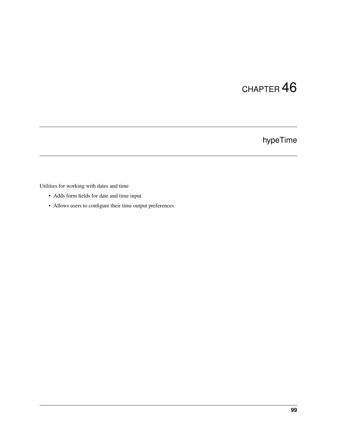## hypeTime

Utilities for working with dates and time

- Adds form fields for date and time input
- Allows users to configure their time output preferences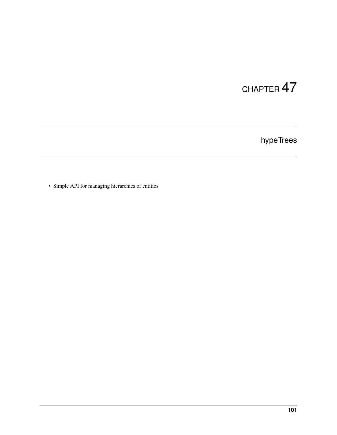## hypeTrees

• Simple API for managing hierarchies of entities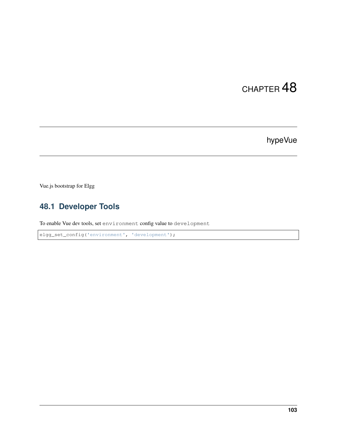# CHAPTER 48

## hypeVue

Vue.js bootstrap for Elgg

## **48.1 Developer Tools**

To enable Vue dev tools, set environment config value to development

elgg\_set\_config('environment', 'development');